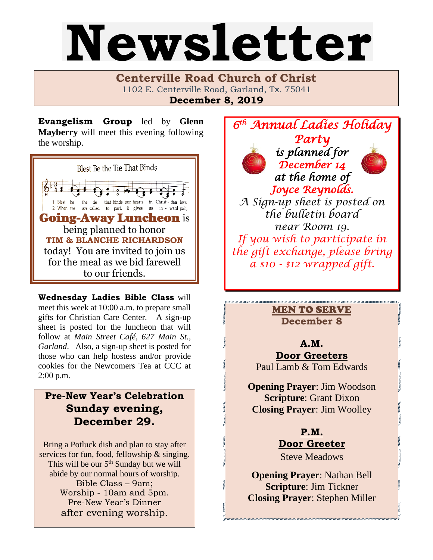# Newsletter

**Centerville Road Church of Christ**  1102 E. Centerville Road, Garland, Tx. 75041 **December 8, 2019**

**Evangelism Group** led by **Glenn Mayberry** will meet this evening following the worship.



**Wednesday Ladies Bible Class** will meet this week at 10:00 a.m. to prepare small gifts for Christian Care Center. A sign-up sheet is posted for the luncheon that will follow at *Main Street Café, 627 Main St., Garland*. Also, a sign-up sheet is posted for those who can help hostess and/or provide cookies for the Newcomers Tea at CCC at 2:00 p.m.

# **Pre-New Year's Celebration Sunday evening, December 29.**

Bring a Potluck dish and plan to stay after services for fun, food, fellowship & singing. This will be our 5<sup>th</sup> Sunday but we will abide by our normal hours of worship. Bible Class – 9am; Worship - 10am and 5pm. Pre-New Year's Dinner after evening worship.



# MEN TO SERVE **December 8**

### **A.M.**

**Door Greeters** Paul Lamb & Tom Edwards

 **Opening Prayer**: Jim Woodson **Scripture**: Grant Dixon **Closing Prayer**: Jim Woolley

> **P.M. Door Greeter** Steve Meadows

**Opening Prayer**: Nathan Bell **Scripture**: Jim Tickner **Closing Prayer**: Stephen Miller